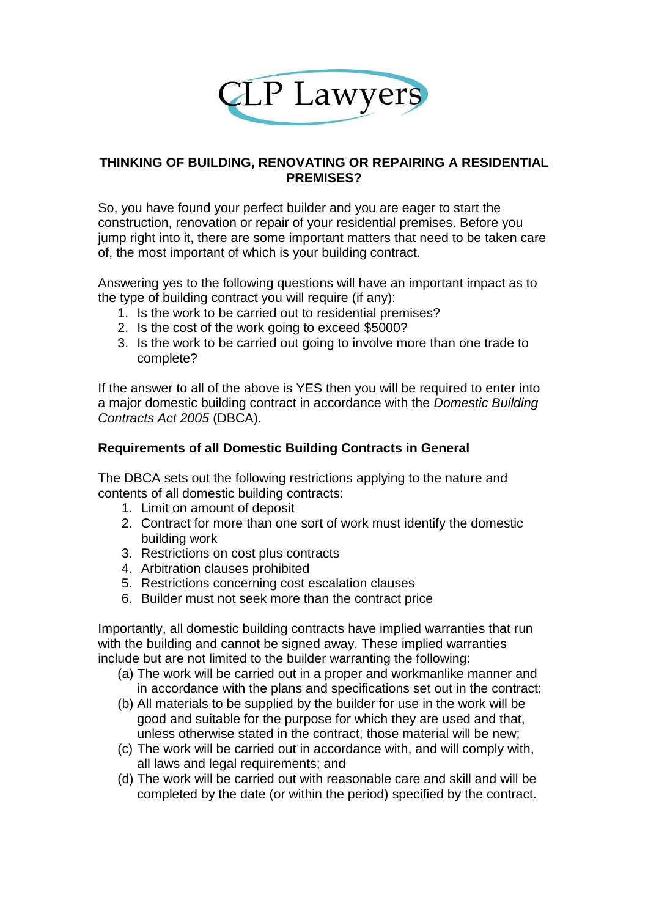

## **THINKING OF BUILDING, RENOVATING OR REPAIRING A RESIDENTIAL PREMISES?**

So, you have found your perfect builder and you are eager to start the construction, renovation or repair of your residential premises. Before you jump right into it, there are some important matters that need to be taken care of, the most important of which is your building contract.

Answering yes to the following questions will have an important impact as to the type of building contract you will require (if any):

- 1. Is the work to be carried out to residential premises?
- 2. Is the cost of the work going to exceed \$5000?
- 3. Is the work to be carried out going to involve more than one trade to complete?

If the answer to all of the above is YES then you will be required to enter into a major domestic building contract in accordance with the *Domestic Building Contracts Act 2005* (DBCA).

## **Requirements of all Domestic Building Contracts in General**

The DBCA sets out the following restrictions applying to the nature and contents of all domestic building contracts:

- 1. Limit on amount of deposit
- 2. Contract for more than one sort of work must identify the domestic building work
- 3. Restrictions on cost plus contracts
- 4. Arbitration clauses prohibited
- 5. Restrictions concerning cost escalation clauses
- 6. Builder must not seek more than the contract price

Importantly, all domestic building contracts have implied warranties that run with the building and cannot be signed away. These implied warranties include but are not limited to the builder warranting the following:

- (a) The work will be carried out in a proper and workmanlike manner and in accordance with the plans and specifications set out in the contract;
- (b) All materials to be supplied by the builder for use in the work will be good and suitable for the purpose for which they are used and that, unless otherwise stated in the contract, those material will be new;
- (c) The work will be carried out in accordance with, and will comply with, all laws and legal requirements; and
- (d) The work will be carried out with reasonable care and skill and will be completed by the date (or within the period) specified by the contract.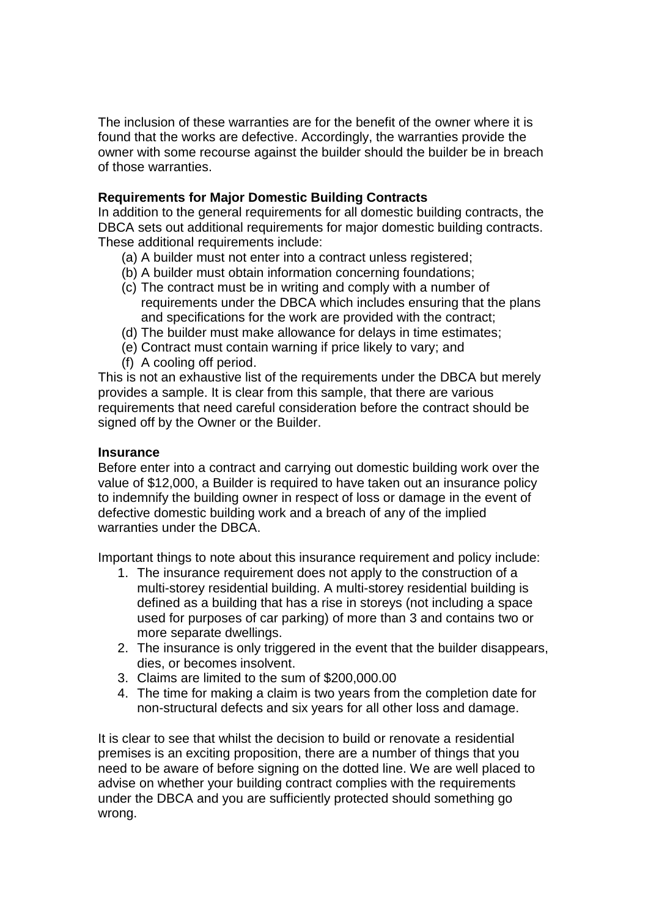The inclusion of these warranties are for the benefit of the owner where it is found that the works are defective. Accordingly, the warranties provide the owner with some recourse against the builder should the builder be in breach of those warranties.

## **Requirements for Major Domestic Building Contracts**

In addition to the general requirements for all domestic building contracts, the DBCA sets out additional requirements for major domestic building contracts. These additional requirements include:

- (a) A builder must not enter into a contract unless registered;
- (b) A builder must obtain information concerning foundations;
- (c) The contract must be in writing and comply with a number of requirements under the DBCA which includes ensuring that the plans and specifications for the work are provided with the contract;
- (d) The builder must make allowance for delays in time estimates;
- (e) Contract must contain warning if price likely to vary; and
- (f) A cooling off period.

This is not an exhaustive list of the requirements under the DBCA but merely provides a sample. It is clear from this sample, that there are various requirements that need careful consideration before the contract should be signed off by the Owner or the Builder.

### **Insurance**

Before enter into a contract and carrying out domestic building work over the value of \$12,000, a Builder is required to have taken out an insurance policy to indemnify the building owner in respect of loss or damage in the event of defective domestic building work and a breach of any of the implied warranties under the DBCA.

Important things to note about this insurance requirement and policy include:

- 1. The insurance requirement does not apply to the construction of a multi-storey residential building. A multi-storey residential building is defined as a building that has a rise in storeys (not including a space used for purposes of car parking) of more than 3 and contains two or more separate dwellings.
- 2. The insurance is only triggered in the event that the builder disappears, dies, or becomes insolvent.
- 3. Claims are limited to the sum of \$200,000.00
- 4. The time for making a claim is two years from the completion date for non-structural defects and six years for all other loss and damage.

It is clear to see that whilst the decision to build or renovate a residential premises is an exciting proposition, there are a number of things that you need to be aware of before signing on the dotted line. We are well placed to advise on whether your building contract complies with the requirements under the DBCA and you are sufficiently protected should something go wrong.